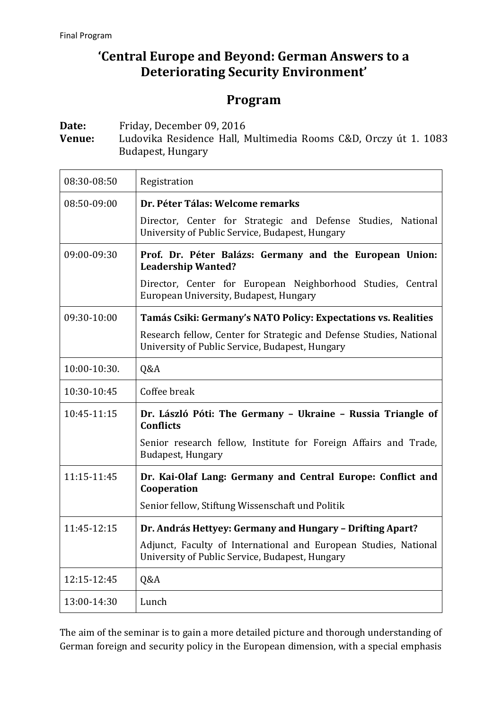## **'Central Europe and Beyond: German Answers to a Deteriorating Security Environment'**

## **Program**

**Date:** Friday, December 09, 2016

**Venue:** Ludovika Residence Hall, Multimedia Rooms C&D, Orczy út 1. 1083 Budapest, Hungary

| 08:30-08:50  | Registration                                                                                                           |
|--------------|------------------------------------------------------------------------------------------------------------------------|
| 08:50-09:00  | Dr. Péter Tálas: Welcome remarks                                                                                       |
|              | Director, Center for Strategic and Defense Studies, National<br>University of Public Service, Budapest, Hungary        |
| 09:00-09:30  | Prof. Dr. Péter Balázs: Germany and the European Union:<br><b>Leadership Wanted?</b>                                   |
|              | Director, Center for European Neighborhood Studies, Central<br>European University, Budapest, Hungary                  |
| 09:30-10:00  | Tamás Csiki: Germany's NATO Policy: Expectations vs. Realities                                                         |
|              | Research fellow, Center for Strategic and Defense Studies, National<br>University of Public Service, Budapest, Hungary |
| 10:00-10:30. | Q&A                                                                                                                    |
| 10:30-10:45  | Coffee break                                                                                                           |
| 10:45-11:15  | Dr. László Póti: The Germany - Ukraine - Russia Triangle of<br><b>Conflicts</b>                                        |
|              | Senior research fellow, Institute for Foreign Affairs and Trade,<br>Budapest, Hungary                                  |
| 11:15-11:45  | Dr. Kai-Olaf Lang: Germany and Central Europe: Conflict and<br>Cooperation                                             |
|              | Senior fellow, Stiftung Wissenschaft und Politik                                                                       |
| 11:45-12:15  | Dr. András Hettyey: Germany and Hungary - Drifting Apart?                                                              |
|              | Adjunct, Faculty of International and European Studies, National<br>University of Public Service, Budapest, Hungary    |
| 12:15-12:45  | Q&A                                                                                                                    |
| 13:00-14:30  | Lunch                                                                                                                  |

The aim of the seminar is to gain a more detailed picture and thorough understanding of German foreign and security policy in the European dimension, with a special emphasis